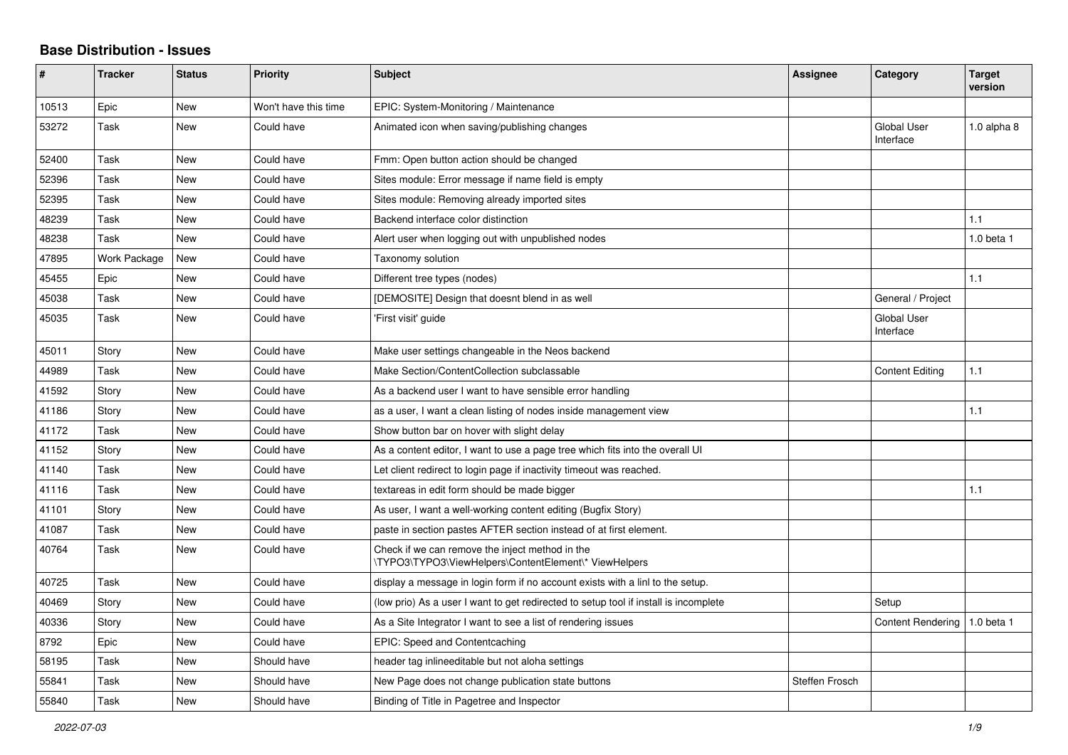## **Base Distribution - Issues**

| ∦     | <b>Tracker</b> | <b>Status</b> | <b>Priority</b>      | <b>Subject</b>                                                                                           | Assignee       | Category                        | <b>Target</b><br>version |
|-------|----------------|---------------|----------------------|----------------------------------------------------------------------------------------------------------|----------------|---------------------------------|--------------------------|
| 10513 | Epic           | <b>New</b>    | Won't have this time | EPIC: System-Monitoring / Maintenance                                                                    |                |                                 |                          |
| 53272 | Task           | New           | Could have           | Animated icon when saving/publishing changes                                                             |                | <b>Global User</b><br>Interface | 1.0 alpha 8              |
| 52400 | Task           | <b>New</b>    | Could have           | Fmm: Open button action should be changed                                                                |                |                                 |                          |
| 52396 | Task           | New           | Could have           | Sites module: Error message if name field is empty                                                       |                |                                 |                          |
| 52395 | Task           | <b>New</b>    | Could have           | Sites module: Removing already imported sites                                                            |                |                                 |                          |
| 48239 | Task           | <b>New</b>    | Could have           | Backend interface color distinction                                                                      |                |                                 | 1.1                      |
| 48238 | Task           | New           | Could have           | Alert user when logging out with unpublished nodes                                                       |                |                                 | 1.0 beta 1               |
| 47895 | Work Package   | <b>New</b>    | Could have           | Taxonomy solution                                                                                        |                |                                 |                          |
| 45455 | Epic           | New           | Could have           | Different tree types (nodes)                                                                             |                |                                 | 1.1                      |
| 45038 | Task           | <b>New</b>    | Could have           | [DEMOSITE] Design that doesnt blend in as well                                                           |                | General / Project               |                          |
| 45035 | Task           | New           | Could have           | 'First visit' guide                                                                                      |                | <b>Global User</b><br>Interface |                          |
| 45011 | Story          | New           | Could have           | Make user settings changeable in the Neos backend                                                        |                |                                 |                          |
| 44989 | Task           | <b>New</b>    | Could have           | Make Section/ContentCollection subclassable                                                              |                | <b>Content Editing</b>          | 1.1                      |
| 41592 | Story          | <b>New</b>    | Could have           | As a backend user I want to have sensible error handling                                                 |                |                                 |                          |
| 41186 | Story          | <b>New</b>    | Could have           | as a user, I want a clean listing of nodes inside management view                                        |                |                                 | 1.1                      |
| 41172 | Task           | New           | Could have           | Show button bar on hover with slight delay                                                               |                |                                 |                          |
| 41152 | Story          | <b>New</b>    | Could have           | As a content editor, I want to use a page tree which fits into the overall UI                            |                |                                 |                          |
| 41140 | Task           | <b>New</b>    | Could have           | Let client redirect to login page if inactivity timeout was reached.                                     |                |                                 |                          |
| 41116 | Task           | New           | Could have           | textareas in edit form should be made bigger                                                             |                |                                 | 1.1                      |
| 41101 | Story          | <b>New</b>    | Could have           | As user, I want a well-working content editing (Bugfix Story)                                            |                |                                 |                          |
| 41087 | Task           | New           | Could have           | paste in section pastes AFTER section instead of at first element.                                       |                |                                 |                          |
| 40764 | Task           | New           | Could have           | Check if we can remove the inject method in the<br>\TYPO3\TYPO3\ViewHelpers\ContentElement\* ViewHelpers |                |                                 |                          |
| 40725 | Task           | <b>New</b>    | Could have           | display a message in login form if no account exists with a linl to the setup.                           |                |                                 |                          |
| 40469 | Story          | <b>New</b>    | Could have           | (low prio) As a user I want to get redirected to setup tool if install is incomplete                     |                | Setup                           |                          |
| 40336 | Story          | <b>New</b>    | Could have           | As a Site Integrator I want to see a list of rendering issues                                            |                | <b>Content Rendering</b>        | 1.0 beta 1               |
| 8792  | Epic           | <b>New</b>    | Could have           | EPIC: Speed and Contentcaching                                                                           |                |                                 |                          |
| 58195 | Task           | <b>New</b>    | Should have          | header tag inlineeditable but not aloha settings                                                         |                |                                 |                          |
| 55841 | Task           | <b>New</b>    | Should have          | New Page does not change publication state buttons                                                       | Steffen Frosch |                                 |                          |
| 55840 | Task           | <b>New</b>    | Should have          | Binding of Title in Pagetree and Inspector                                                               |                |                                 |                          |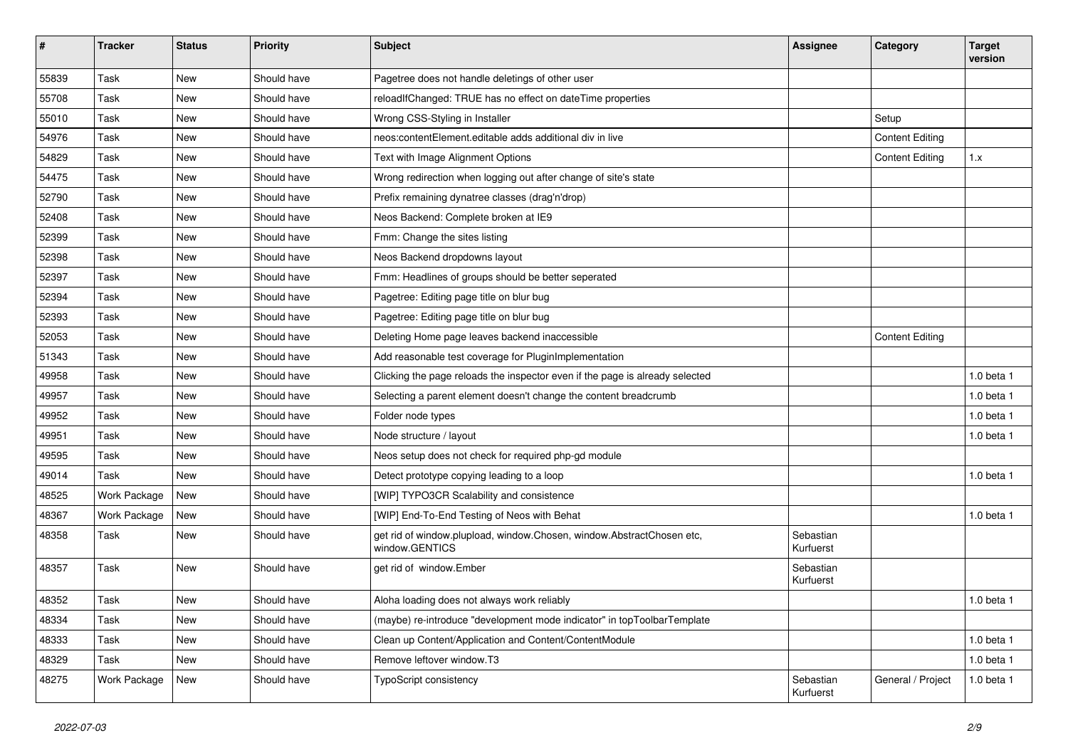| #     | <b>Tracker</b> | <b>Status</b> | <b>Priority</b> | <b>Subject</b>                                                                          | Assignee               | Category               | <b>Target</b><br>version |
|-------|----------------|---------------|-----------------|-----------------------------------------------------------------------------------------|------------------------|------------------------|--------------------------|
| 55839 | Task           | New           | Should have     | Pagetree does not handle deletings of other user                                        |                        |                        |                          |
| 55708 | Task           | New           | Should have     | reloadIfChanged: TRUE has no effect on dateTime properties                              |                        |                        |                          |
| 55010 | Task           | New           | Should have     | Wrong CSS-Styling in Installer                                                          |                        | Setup                  |                          |
| 54976 | Task           | New           | Should have     | neos: content Element. editable adds additional div in live                             |                        | <b>Content Editing</b> |                          |
| 54829 | Task           | New           | Should have     | Text with Image Alignment Options                                                       |                        | <b>Content Editing</b> | 1.x                      |
| 54475 | Task           | New           | Should have     | Wrong redirection when logging out after change of site's state                         |                        |                        |                          |
| 52790 | Task           | New           | Should have     | Prefix remaining dynatree classes (drag'n'drop)                                         |                        |                        |                          |
| 52408 | Task           | New           | Should have     | Neos Backend: Complete broken at IE9                                                    |                        |                        |                          |
| 52399 | Task           | <b>New</b>    | Should have     | Fmm: Change the sites listing                                                           |                        |                        |                          |
| 52398 | Task           | New           | Should have     | Neos Backend dropdowns layout                                                           |                        |                        |                          |
| 52397 | Task           | New           | Should have     | Fmm: Headlines of groups should be better seperated                                     |                        |                        |                          |
| 52394 | Task           | New           | Should have     | Pagetree: Editing page title on blur bug                                                |                        |                        |                          |
| 52393 | Task           | New           | Should have     | Pagetree: Editing page title on blur bug                                                |                        |                        |                          |
| 52053 | Task           | New           | Should have     | Deleting Home page leaves backend inaccessible                                          |                        | <b>Content Editing</b> |                          |
| 51343 | Task           | New           | Should have     | Add reasonable test coverage for PluginImplementation                                   |                        |                        |                          |
| 49958 | Task           | <b>New</b>    | Should have     | Clicking the page reloads the inspector even if the page is already selected            |                        |                        | 1.0 beta 1               |
| 49957 | Task           | New           | Should have     | Selecting a parent element doesn't change the content breadcrumb                        |                        |                        | 1.0 beta 1               |
| 49952 | Task           | New           | Should have     | Folder node types                                                                       |                        |                        | 1.0 beta 1               |
| 49951 | Task           | New           | Should have     | Node structure / layout                                                                 |                        |                        | 1.0 beta 1               |
| 49595 | Task           | New           | Should have     | Neos setup does not check for required php-gd module                                    |                        |                        |                          |
| 49014 | Task           | New           | Should have     | Detect prototype copying leading to a loop                                              |                        |                        | 1.0 beta 1               |
| 48525 | Work Package   | <b>New</b>    | Should have     | [WIP] TYPO3CR Scalability and consistence                                               |                        |                        |                          |
| 48367 | Work Package   | New           | Should have     | [WIP] End-To-End Testing of Neos with Behat                                             |                        |                        | 1.0 beta 1               |
| 48358 | Task           | New           | Should have     | get rid of window plupload, window Chosen, window AbstractChosen etc,<br>window.GENTICS | Sebastian<br>Kurfuerst |                        |                          |
| 48357 | Task           | <b>New</b>    | Should have     | get rid of window.Ember                                                                 | Sebastian<br>Kurfuerst |                        |                          |
| 48352 | Task           | New           | Should have     | Aloha loading does not always work reliably                                             |                        |                        | 1.0 beta 1               |
| 48334 | Task           | New           | Should have     | (maybe) re-introduce "development mode indicator" in topToolbarTemplate                 |                        |                        |                          |
| 48333 | Task           | New           | Should have     | Clean up Content/Application and Content/ContentModule                                  |                        |                        | 1.0 beta 1               |
| 48329 | Task           | New           | Should have     | Remove leftover window.T3                                                               |                        |                        | 1.0 beta 1               |
| 48275 | Work Package   | <b>New</b>    | Should have     | <b>TypoScript consistency</b>                                                           | Sebastian<br>Kurfuerst | General / Project      | 1.0 beta 1               |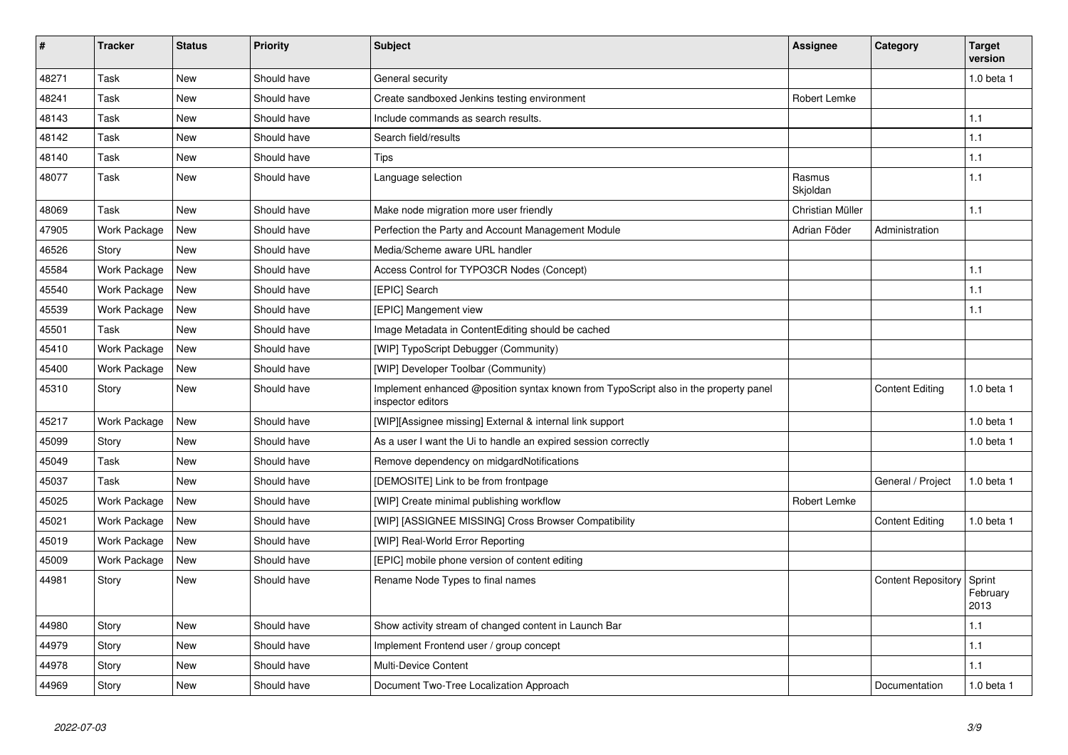| $\vert$ # | <b>Tracker</b> | <b>Status</b> | <b>Priority</b> | <b>Subject</b>                                                                                            | Assignee           | Category                  | <b>Target</b><br>version   |
|-----------|----------------|---------------|-----------------|-----------------------------------------------------------------------------------------------------------|--------------------|---------------------------|----------------------------|
| 48271     | Task           | <b>New</b>    | Should have     | General security                                                                                          |                    |                           | $1.0$ beta $1$             |
| 48241     | Task           | New           | Should have     | Create sandboxed Jenkins testing environment                                                              | Robert Lemke       |                           |                            |
| 48143     | Task           | <b>New</b>    | Should have     | Include commands as search results.                                                                       |                    |                           | 1.1                        |
| 48142     | Task           | New           | Should have     | Search field/results                                                                                      |                    |                           | 1.1                        |
| 48140     | Task           | New           | Should have     | Tips                                                                                                      |                    |                           | 1.1                        |
| 48077     | Task           | <b>New</b>    | Should have     | Language selection                                                                                        | Rasmus<br>Skioldan |                           | 1.1                        |
| 48069     | Task           | <b>New</b>    | Should have     | Make node migration more user friendly                                                                    | Christian Müller   |                           | 1.1                        |
| 47905     | Work Package   | New           | Should have     | Perfection the Party and Account Management Module                                                        | Adrian Föder       | Administration            |                            |
| 46526     | Story          | New           | Should have     | Media/Scheme aware URL handler                                                                            |                    |                           |                            |
| 45584     | Work Package   | <b>New</b>    | Should have     | Access Control for TYPO3CR Nodes (Concept)                                                                |                    |                           | 1.1                        |
| 45540     | Work Package   | <b>New</b>    | Should have     | [EPIC] Search                                                                                             |                    |                           | 1.1                        |
| 45539     | Work Package   | New           | Should have     | [EPIC] Mangement view                                                                                     |                    |                           | 1.1                        |
| 45501     | Task           | <b>New</b>    | Should have     | Image Metadata in ContentEditing should be cached                                                         |                    |                           |                            |
| 45410     | Work Package   | <b>New</b>    | Should have     | [WIP] TypoScript Debugger (Community)                                                                     |                    |                           |                            |
| 45400     | Work Package   | New           | Should have     | [WIP] Developer Toolbar (Community)                                                                       |                    |                           |                            |
| 45310     | Story          | New           | Should have     | Implement enhanced @position syntax known from TypoScript also in the property panel<br>inspector editors |                    | <b>Content Editing</b>    | 1.0 beta 1                 |
| 45217     | Work Package   | <b>New</b>    | Should have     | [WIP][Assignee missing] External & internal link support                                                  |                    |                           | $1.0$ beta $1$             |
| 45099     | Story          | New           | Should have     | As a user I want the Ui to handle an expired session correctly                                            |                    |                           | 1.0 beta 1                 |
| 45049     | Task           | <b>New</b>    | Should have     | Remove dependency on midgardNotifications                                                                 |                    |                           |                            |
| 45037     | Task           | <b>New</b>    | Should have     | [DEMOSITE] Link to be from frontpage                                                                      |                    | General / Project         | 1.0 beta 1                 |
| 45025     | Work Package   | <b>New</b>    | Should have     | [WIP] Create minimal publishing workflow                                                                  | Robert Lemke       |                           |                            |
| 45021     | Work Package   | New           | Should have     | [WIP] [ASSIGNEE MISSING] Cross Browser Compatibility                                                      |                    | <b>Content Editing</b>    | 1.0 beta 1                 |
| 45019     | Work Package   | New           | Should have     | [WIP] Real-World Error Reporting                                                                          |                    |                           |                            |
| 45009     | Work Package   | New           | Should have     | [EPIC] mobile phone version of content editing                                                            |                    |                           |                            |
| 44981     | Story          | New           | Should have     | Rename Node Types to final names                                                                          |                    | <b>Content Repository</b> | Sprint<br>February<br>2013 |
| 44980     | Story          | New           | Should have     | Show activity stream of changed content in Launch Bar                                                     |                    |                           | 1.1                        |
| 44979     | Story          | <b>New</b>    | Should have     | Implement Frontend user / group concept                                                                   |                    |                           | 1.1                        |
| 44978     | Story          | New           | Should have     | <b>Multi-Device Content</b>                                                                               |                    |                           | 1.1                        |
| 44969     | Story          | New           | Should have     | Document Two-Tree Localization Approach                                                                   |                    | Documentation             | $1.0$ beta $1$             |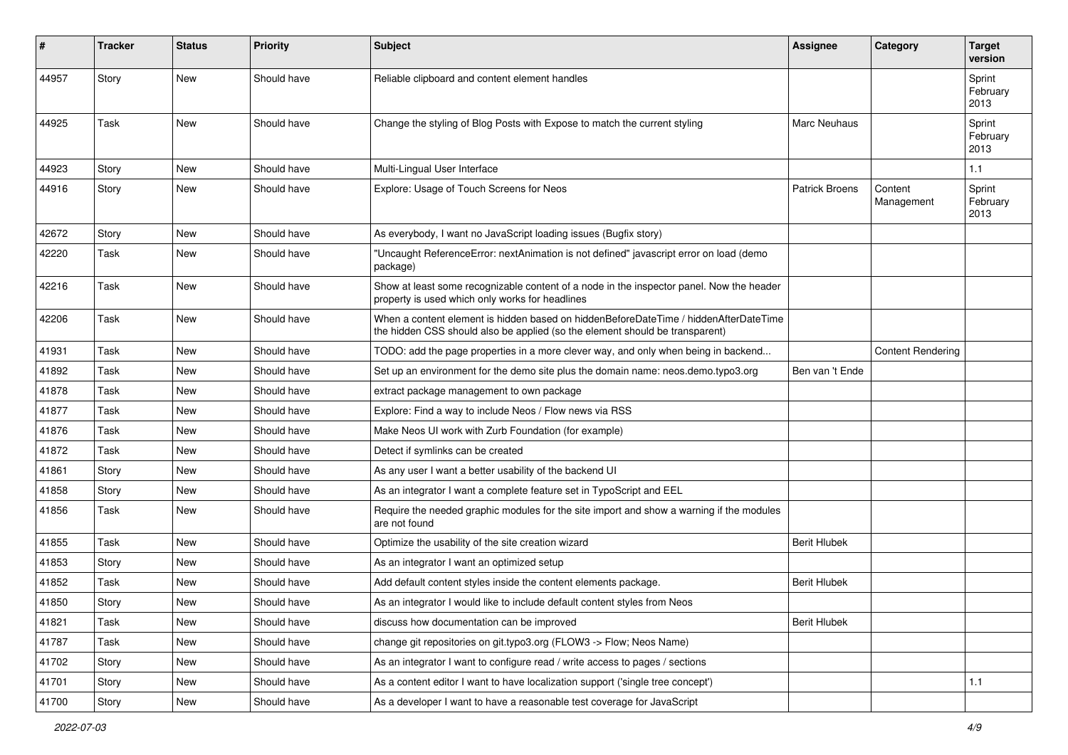| #     | <b>Tracker</b> | <b>Status</b> | <b>Priority</b> | <b>Subject</b>                                                                                                                                                       | <b>Assignee</b>       | Category                 | <b>Target</b><br>version   |
|-------|----------------|---------------|-----------------|----------------------------------------------------------------------------------------------------------------------------------------------------------------------|-----------------------|--------------------------|----------------------------|
| 44957 | Story          | <b>New</b>    | Should have     | Reliable clipboard and content element handles                                                                                                                       |                       |                          | Sprint<br>February<br>2013 |
| 44925 | Task           | <b>New</b>    | Should have     | Change the styling of Blog Posts with Expose to match the current styling                                                                                            | Marc Neuhaus          |                          | Sprint<br>February<br>2013 |
| 44923 | Story          | <b>New</b>    | Should have     | Multi-Lingual User Interface                                                                                                                                         |                       |                          | 1.1                        |
| 44916 | Story          | <b>New</b>    | Should have     | Explore: Usage of Touch Screens for Neos                                                                                                                             | <b>Patrick Broens</b> | Content<br>Management    | Sprint<br>February<br>2013 |
| 42672 | Story          | <b>New</b>    | Should have     | As everybody, I want no JavaScript loading issues (Bugfix story)                                                                                                     |                       |                          |                            |
| 42220 | Task           | <b>New</b>    | Should have     | "Uncaught ReferenceError: nextAnimation is not defined" javascript error on load (demo<br>package)                                                                   |                       |                          |                            |
| 42216 | Task           | <b>New</b>    | Should have     | Show at least some recognizable content of a node in the inspector panel. Now the header<br>property is used which only works for headlines                          |                       |                          |                            |
| 42206 | Task           | <b>New</b>    | Should have     | When a content element is hidden based on hiddenBeforeDateTime / hiddenAfterDateTime<br>the hidden CSS should also be applied (so the element should be transparent) |                       |                          |                            |
| 41931 | Task           | <b>New</b>    | Should have     | TODO: add the page properties in a more clever way, and only when being in backend                                                                                   |                       | <b>Content Rendering</b> |                            |
| 41892 | Task           | <b>New</b>    | Should have     | Set up an environment for the demo site plus the domain name: neos.demo.typo3.org                                                                                    | Ben van 't Ende       |                          |                            |
| 41878 | Task           | <b>New</b>    | Should have     | extract package management to own package                                                                                                                            |                       |                          |                            |
| 41877 | Task           | <b>New</b>    | Should have     | Explore: Find a way to include Neos / Flow news via RSS                                                                                                              |                       |                          |                            |
| 41876 | Task           | <b>New</b>    | Should have     | Make Neos UI work with Zurb Foundation (for example)                                                                                                                 |                       |                          |                            |
| 41872 | Task           | <b>New</b>    | Should have     | Detect if symlinks can be created                                                                                                                                    |                       |                          |                            |
| 41861 | Story          | <b>New</b>    | Should have     | As any user I want a better usability of the backend UI                                                                                                              |                       |                          |                            |
| 41858 | Story          | <b>New</b>    | Should have     | As an integrator I want a complete feature set in TypoScript and EEL                                                                                                 |                       |                          |                            |
| 41856 | Task           | <b>New</b>    | Should have     | Require the needed graphic modules for the site import and show a warning if the modules<br>are not found                                                            |                       |                          |                            |
| 41855 | Task           | <b>New</b>    | Should have     | Optimize the usability of the site creation wizard                                                                                                                   | <b>Berit Hlubek</b>   |                          |                            |
| 41853 | Story          | <b>New</b>    | Should have     | As an integrator I want an optimized setup                                                                                                                           |                       |                          |                            |
| 41852 | Task           | <b>New</b>    | Should have     | Add default content styles inside the content elements package.                                                                                                      | <b>Berit Hlubek</b>   |                          |                            |
| 41850 | Story          | New           | Should have     | As an integrator I would like to include default content styles from Neos                                                                                            |                       |                          |                            |
| 41821 | Task           | New           | Should have     | discuss how documentation can be improved                                                                                                                            | <b>Berit Hlubek</b>   |                          |                            |
| 41787 | Task           | New           | Should have     | change git repositories on git.typo3.org (FLOW3 -> Flow; Neos Name)                                                                                                  |                       |                          |                            |
| 41702 | Story          | New           | Should have     | As an integrator I want to configure read / write access to pages / sections                                                                                         |                       |                          |                            |
| 41701 | Story          | New           | Should have     | As a content editor I want to have localization support ('single tree concept')                                                                                      |                       |                          | 1.1                        |
| 41700 | Story          | New           | Should have     | As a developer I want to have a reasonable test coverage for JavaScript                                                                                              |                       |                          |                            |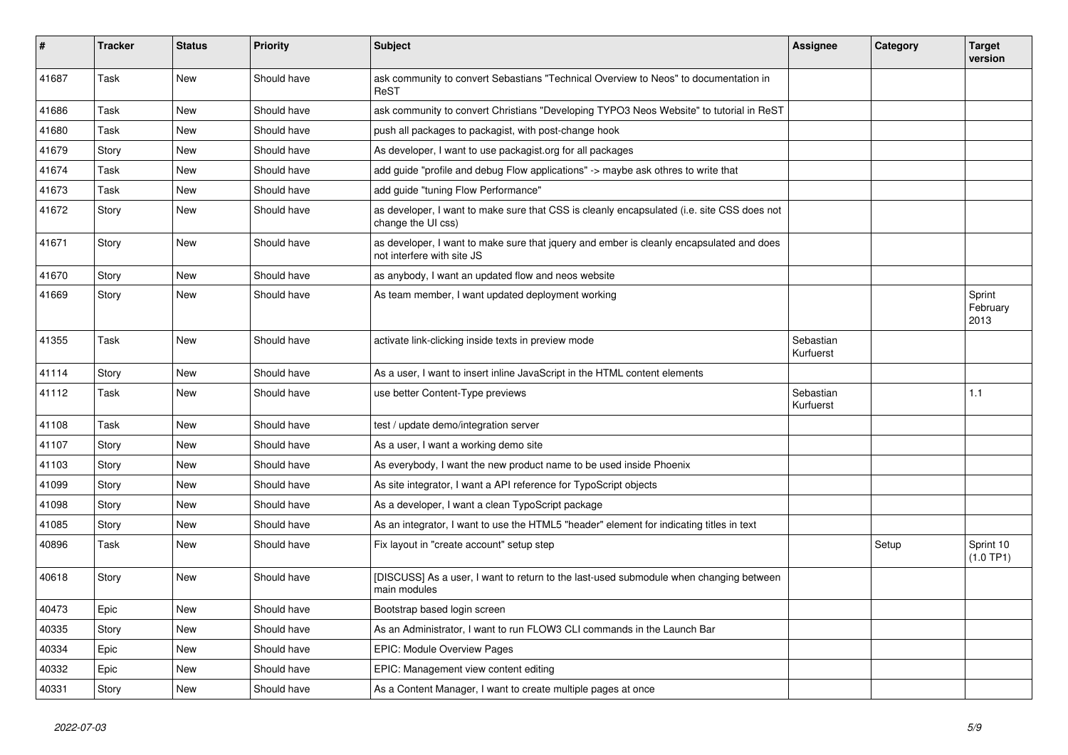| #     | <b>Tracker</b> | <b>Status</b> | <b>Priority</b> | <b>Subject</b>                                                                                                         | Assignee               | Category | <b>Target</b><br>version   |
|-------|----------------|---------------|-----------------|------------------------------------------------------------------------------------------------------------------------|------------------------|----------|----------------------------|
| 41687 | Task           | <b>New</b>    | Should have     | ask community to convert Sebastians "Technical Overview to Neos" to documentation in<br>ReST                           |                        |          |                            |
| 41686 | Task           | New           | Should have     | ask community to convert Christians "Developing TYPO3 Neos Website" to tutorial in ReST                                |                        |          |                            |
| 41680 | Task           | New           | Should have     | push all packages to packagist, with post-change hook                                                                  |                        |          |                            |
| 41679 | Story          | <b>New</b>    | Should have     | As developer, I want to use packagist.org for all packages                                                             |                        |          |                            |
| 41674 | Task           | New           | Should have     | add guide "profile and debug Flow applications" -> maybe ask othres to write that                                      |                        |          |                            |
| 41673 | Task           | New           | Should have     | add guide "tuning Flow Performance"                                                                                    |                        |          |                            |
| 41672 | Story          | New           | Should have     | as developer, I want to make sure that CSS is cleanly encapsulated (i.e. site CSS does not<br>change the UI css)       |                        |          |                            |
| 41671 | Story          | New           | Should have     | as developer, I want to make sure that jquery and ember is cleanly encapsulated and does<br>not interfere with site JS |                        |          |                            |
| 41670 | Story          | <b>New</b>    | Should have     | as anybody, I want an updated flow and neos website                                                                    |                        |          |                            |
| 41669 | Story          | <b>New</b>    | Should have     | As team member, I want updated deployment working                                                                      |                        |          | Sprint<br>February<br>2013 |
| 41355 | Task           | <b>New</b>    | Should have     | activate link-clicking inside texts in preview mode                                                                    | Sebastian<br>Kurfuerst |          |                            |
| 41114 | Story          | <b>New</b>    | Should have     | As a user, I want to insert inline JavaScript in the HTML content elements                                             |                        |          |                            |
| 41112 | Task           | <b>New</b>    | Should have     | use better Content-Type previews                                                                                       | Sebastian<br>Kurfuerst |          | 1.1                        |
| 41108 | Task           | <b>New</b>    | Should have     | test / update demo/integration server                                                                                  |                        |          |                            |
| 41107 | Story          | New           | Should have     | As a user, I want a working demo site                                                                                  |                        |          |                            |
| 41103 | Story          | <b>New</b>    | Should have     | As everybody, I want the new product name to be used inside Phoenix                                                    |                        |          |                            |
| 41099 | Story          | <b>New</b>    | Should have     | As site integrator, I want a API reference for TypoScript objects                                                      |                        |          |                            |
| 41098 | Story          | <b>New</b>    | Should have     | As a developer, I want a clean TypoScript package                                                                      |                        |          |                            |
| 41085 | Story          | New           | Should have     | As an integrator, I want to use the HTML5 "header" element for indicating titles in text                               |                        |          |                            |
| 40896 | Task           | <b>New</b>    | Should have     | Fix layout in "create account" setup step                                                                              |                        | Setup    | Sprint 10<br>(1.0 TP1)     |
| 40618 | Story          | <b>New</b>    | Should have     | [DISCUSS] As a user, I want to return to the last-used submodule when changing between<br>main modules                 |                        |          |                            |
| 40473 | Epic           | <b>New</b>    | Should have     | Bootstrap based login screen                                                                                           |                        |          |                            |
| 40335 | Story          | New           | Should have     | As an Administrator, I want to run FLOW3 CLI commands in the Launch Bar                                                |                        |          |                            |
| 40334 | Epic           | New           | Should have     | <b>EPIC: Module Overview Pages</b>                                                                                     |                        |          |                            |
| 40332 | Epic           | <b>New</b>    | Should have     | EPIC: Management view content editing                                                                                  |                        |          |                            |
| 40331 | Story          | <b>New</b>    | Should have     | As a Content Manager, I want to create multiple pages at once                                                          |                        |          |                            |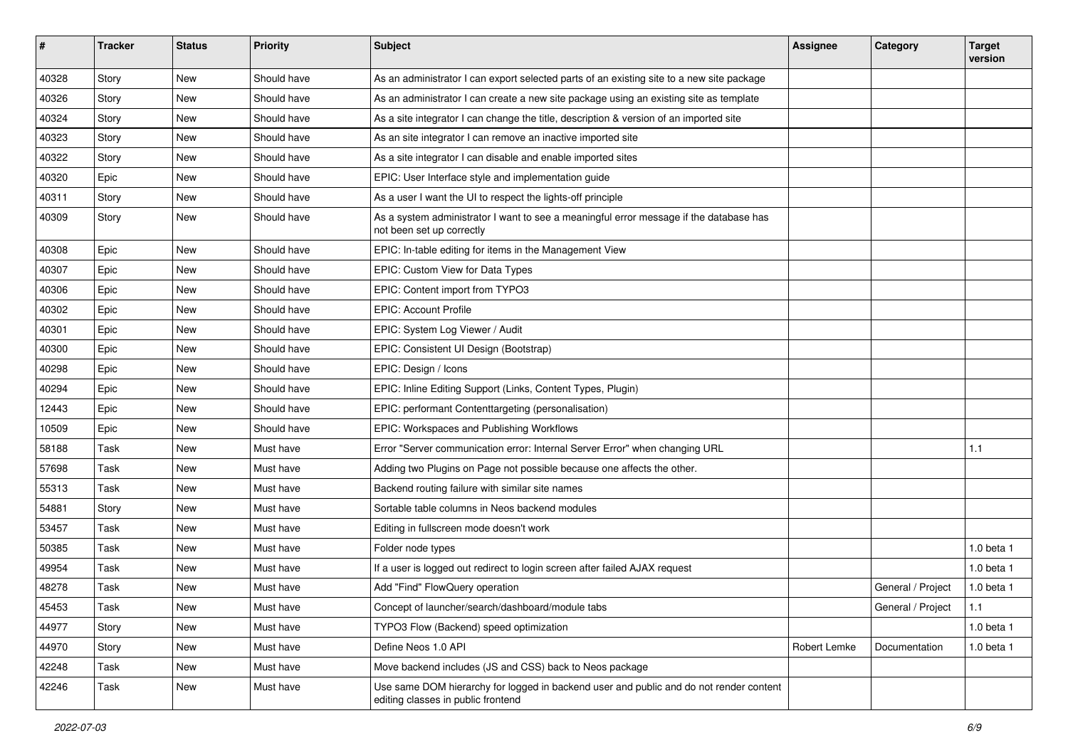| #     | <b>Tracker</b> | <b>Status</b> | <b>Priority</b> | Subject                                                                                                                      | Assignee     | Category          | <b>Target</b><br>version |
|-------|----------------|---------------|-----------------|------------------------------------------------------------------------------------------------------------------------------|--------------|-------------------|--------------------------|
| 40328 | Story          | New           | Should have     | As an administrator I can export selected parts of an existing site to a new site package                                    |              |                   |                          |
| 40326 | Story          | New           | Should have     | As an administrator I can create a new site package using an existing site as template                                       |              |                   |                          |
| 40324 | Story          | New           | Should have     | As a site integrator I can change the title, description & version of an imported site                                       |              |                   |                          |
| 40323 | Story          | New           | Should have     | As an site integrator I can remove an inactive imported site                                                                 |              |                   |                          |
| 40322 | Story          | New           | Should have     | As a site integrator I can disable and enable imported sites                                                                 |              |                   |                          |
| 40320 | Epic           | New           | Should have     | EPIC: User Interface style and implementation guide                                                                          |              |                   |                          |
| 40311 | Story          | New           | Should have     | As a user I want the UI to respect the lights-off principle                                                                  |              |                   |                          |
| 40309 | Story          | New           | Should have     | As a system administrator I want to see a meaningful error message if the database has<br>not been set up correctly          |              |                   |                          |
| 40308 | Epic           | <b>New</b>    | Should have     | EPIC: In-table editing for items in the Management View                                                                      |              |                   |                          |
| 40307 | Epic           | New           | Should have     | EPIC: Custom View for Data Types                                                                                             |              |                   |                          |
| 40306 | Epic           | New           | Should have     | EPIC: Content import from TYPO3                                                                                              |              |                   |                          |
| 40302 | Epic           | <b>New</b>    | Should have     | <b>EPIC: Account Profile</b>                                                                                                 |              |                   |                          |
| 40301 | Epic           | New           | Should have     | EPIC: System Log Viewer / Audit                                                                                              |              |                   |                          |
| 40300 | Epic           | New           | Should have     | EPIC: Consistent UI Design (Bootstrap)                                                                                       |              |                   |                          |
| 40298 | Epic           | New           | Should have     | EPIC: Design / Icons                                                                                                         |              |                   |                          |
| 40294 | Epic           | New           | Should have     | EPIC: Inline Editing Support (Links, Content Types, Plugin)                                                                  |              |                   |                          |
| 12443 | Epic           | New           | Should have     | EPIC: performant Contenttargeting (personalisation)                                                                          |              |                   |                          |
| 10509 | Epic           | <b>New</b>    | Should have     | EPIC: Workspaces and Publishing Workflows                                                                                    |              |                   |                          |
| 58188 | Task           | New           | Must have       | Error "Server communication error: Internal Server Error" when changing URL                                                  |              |                   | 1.1                      |
| 57698 | Task           | New           | Must have       | Adding two Plugins on Page not possible because one affects the other.                                                       |              |                   |                          |
| 55313 | Task           | <b>New</b>    | Must have       | Backend routing failure with similar site names                                                                              |              |                   |                          |
| 54881 | Story          | New           | Must have       | Sortable table columns in Neos backend modules                                                                               |              |                   |                          |
| 53457 | Task           | New           | Must have       | Editing in fullscreen mode doesn't work                                                                                      |              |                   |                          |
| 50385 | Task           | New           | Must have       | Folder node types                                                                                                            |              |                   | $1.0$ beta $1$           |
| 49954 | Task           | New           | Must have       | If a user is logged out redirect to login screen after failed AJAX request                                                   |              |                   | $1.0$ beta $1$           |
| 48278 | Task           | New           | Must have       | Add "Find" FlowQuery operation                                                                                               |              | General / Project | $1.0$ beta $1$           |
| 45453 | Task           | New           | Must have       | Concept of launcher/search/dashboard/module tabs                                                                             |              | General / Project | 1.1                      |
| 44977 | Story          | New           | Must have       | TYPO3 Flow (Backend) speed optimization                                                                                      |              |                   | 1.0 beta 1               |
| 44970 | Story          | New           | Must have       | Define Neos 1.0 API                                                                                                          | Robert Lemke | Documentation     | 1.0 beta 1               |
| 42248 | Task           | New           | Must have       | Move backend includes (JS and CSS) back to Neos package                                                                      |              |                   |                          |
| 42246 | Task           | New           | Must have       | Use same DOM hierarchy for logged in backend user and public and do not render content<br>editing classes in public frontend |              |                   |                          |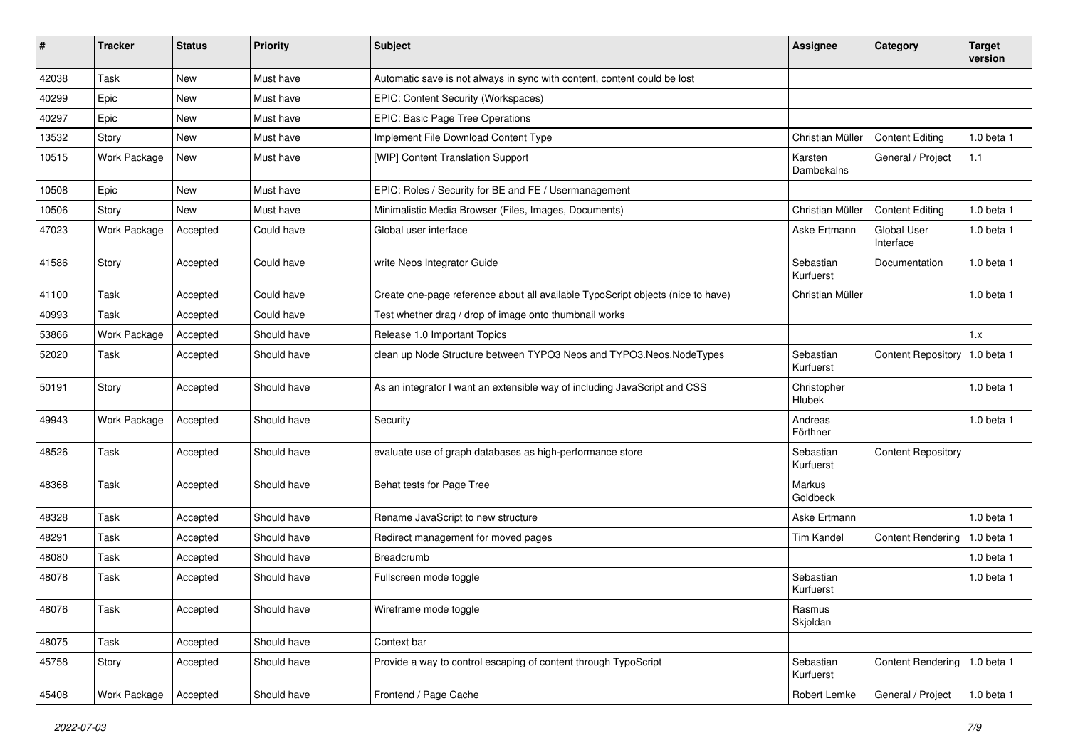| $\pmb{\#}$ | <b>Tracker</b> | <b>Status</b> | <b>Priority</b> | <b>Subject</b>                                                                  | <b>Assignee</b>        | Category                        | <b>Target</b><br>version |
|------------|----------------|---------------|-----------------|---------------------------------------------------------------------------------|------------------------|---------------------------------|--------------------------|
| 42038      | Task           | <b>New</b>    | Must have       | Automatic save is not always in sync with content, content could be lost        |                        |                                 |                          |
| 40299      | Epic           | New           | Must have       | EPIC: Content Security (Workspaces)                                             |                        |                                 |                          |
| 40297      | Epic           | New           | Must have       | EPIC: Basic Page Tree Operations                                                |                        |                                 |                          |
| 13532      | Story          | <b>New</b>    | Must have       | Implement File Download Content Type                                            | Christian Müller       | <b>Content Editing</b>          | 1.0 beta 1               |
| 10515      | Work Package   | New           | Must have       | [WIP] Content Translation Support                                               | Karsten<br>Dambekalns  | General / Project               | $1.1$                    |
| 10508      | Epic           | New           | Must have       | EPIC: Roles / Security for BE and FE / Usermanagement                           |                        |                                 |                          |
| 10506      | Story          | <b>New</b>    | Must have       | Minimalistic Media Browser (Files, Images, Documents)                           | Christian Müller       | <b>Content Editing</b>          | 1.0 beta 1               |
| 47023      | Work Package   | Accepted      | Could have      | Global user interface                                                           | Aske Ertmann           | <b>Global User</b><br>Interface | 1.0 beta 1               |
| 41586      | Story          | Accepted      | Could have      | write Neos Integrator Guide                                                     | Sebastian<br>Kurfuerst | Documentation                   | 1.0 beta 1               |
| 41100      | Task           | Accepted      | Could have      | Create one-page reference about all available TypoScript objects (nice to have) | Christian Müller       |                                 | 1.0 beta 1               |
| 40993      | Task           | Accepted      | Could have      | Test whether drag / drop of image onto thumbnail works                          |                        |                                 |                          |
| 53866      | Work Package   | Accepted      | Should have     | Release 1.0 Important Topics                                                    |                        |                                 | 1.x                      |
| 52020      | Task           | Accepted      | Should have     | clean up Node Structure between TYPO3 Neos and TYPO3.Neos.NodeTypes             | Sebastian<br>Kurfuerst | Content Repository   1.0 beta 1 |                          |
| 50191      | Story          | Accepted      | Should have     | As an integrator I want an extensible way of including JavaScript and CSS       | Christopher<br>Hlubek  |                                 | $1.0$ beta $1$           |
| 49943      | Work Package   | Accepted      | Should have     | Security                                                                        | Andreas<br>Förthner    |                                 | 1.0 beta 1               |
| 48526      | Task           | Accepted      | Should have     | evaluate use of graph databases as high-performance store                       | Sebastian<br>Kurfuerst | <b>Content Repository</b>       |                          |
| 48368      | Task           | Accepted      | Should have     | Behat tests for Page Tree                                                       | Markus<br>Goldbeck     |                                 |                          |
| 48328      | Task           | Accepted      | Should have     | Rename JavaScript to new structure                                              | Aske Ertmann           |                                 | 1.0 beta 1               |
| 48291      | Task           | Accepted      | Should have     | Redirect management for moved pages                                             | Tim Kandel             | <b>Content Rendering</b>        | 1.0 beta 1               |
| 48080      | Task           | Accepted      | Should have     | Breadcrumb                                                                      |                        |                                 | $1.0$ beta $1$           |
| 48078      | Task           | Accepted      | Should have     | Fullscreen mode toggle                                                          | Sebastian<br>Kurfuerst |                                 | $1.0$ beta $1$           |
| 48076      | Task           | Accepted      | Should have     | Wireframe mode toggle                                                           | Rasmus<br>Skjoldan     |                                 |                          |
| 48075      | Task           | Accepted      | Should have     | Context bar                                                                     |                        |                                 |                          |
| 45758      | Story          | Accepted      | Should have     | Provide a way to control escaping of content through TypoScript                 | Sebastian<br>Kurfuerst | Content Rendering   1.0 beta 1  |                          |
| 45408      | Work Package   | Accepted      | Should have     | Frontend / Page Cache                                                           | Robert Lemke           | General / Project               | 1.0 beta 1               |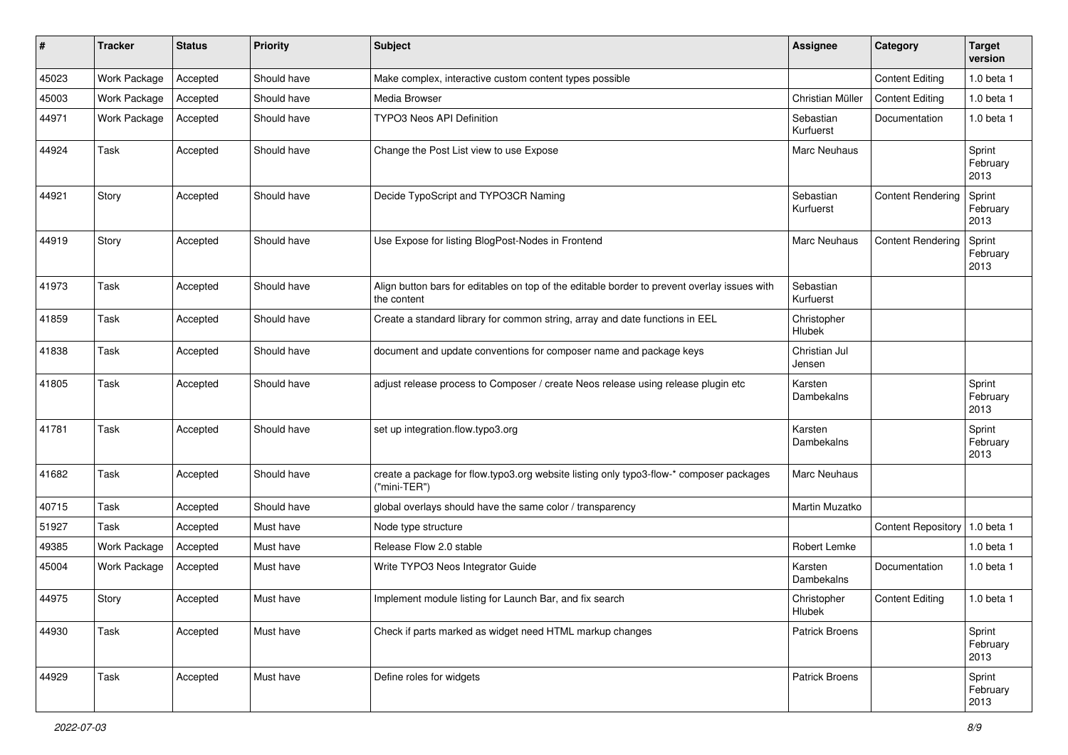| #     | <b>Tracker</b> | <b>Status</b> | <b>Priority</b> | <b>Subject</b>                                                                                              | <b>Assignee</b>         | Category                  | <b>Target</b><br>version   |
|-------|----------------|---------------|-----------------|-------------------------------------------------------------------------------------------------------------|-------------------------|---------------------------|----------------------------|
| 45023 | Work Package   | Accepted      | Should have     | Make complex, interactive custom content types possible                                                     |                         | <b>Content Editing</b>    | 1.0 beta 1                 |
| 45003 | Work Package   | Accepted      | Should have     | Media Browser                                                                                               | Christian Müller        | <b>Content Editing</b>    | 1.0 beta 1                 |
| 44971 | Work Package   | Accepted      | Should have     | <b>TYPO3 Neos API Definition</b>                                                                            | Sebastian<br>Kurfuerst  | Documentation             | 1.0 beta 1                 |
| 44924 | Task           | Accepted      | Should have     | Change the Post List view to use Expose                                                                     | Marc Neuhaus            |                           | Sprint<br>February<br>2013 |
| 44921 | Story          | Accepted      | Should have     | Decide TypoScript and TYPO3CR Naming                                                                        | Sebastian<br>Kurfuerst  | <b>Content Rendering</b>  | Sprint<br>February<br>2013 |
| 44919 | Story          | Accepted      | Should have     | Use Expose for listing BlogPost-Nodes in Frontend                                                           | Marc Neuhaus            | <b>Content Rendering</b>  | Sprint<br>February<br>2013 |
| 41973 | Task           | Accepted      | Should have     | Align button bars for editables on top of the editable border to prevent overlay issues with<br>the content | Sebastian<br>Kurfuerst  |                           |                            |
| 41859 | Task           | Accepted      | Should have     | Create a standard library for common string, array and date functions in EEL                                | Christopher<br>Hlubek   |                           |                            |
| 41838 | Task           | Accepted      | Should have     | document and update conventions for composer name and package keys                                          | Christian Jul<br>Jensen |                           |                            |
| 41805 | Task           | Accepted      | Should have     | adjust release process to Composer / create Neos release using release plugin etc                           | Karsten<br>Dambekalns   |                           | Sprint<br>February<br>2013 |
| 41781 | Task           | Accepted      | Should have     | set up integration.flow.typo3.org                                                                           | Karsten<br>Dambekalns   |                           | Sprint<br>February<br>2013 |
| 41682 | Task           | Accepted      | Should have     | create a package for flow typo3 org website listing only typo3-flow-* composer packages<br>("mini-TER")     | Marc Neuhaus            |                           |                            |
| 40715 | Task           | Accepted      | Should have     | global overlays should have the same color / transparency                                                   | Martin Muzatko          |                           |                            |
| 51927 | Task           | Accepted      | Must have       | Node type structure                                                                                         |                         | <b>Content Repository</b> | $1.0$ beta 1               |
| 49385 | Work Package   | Accepted      | Must have       | Release Flow 2.0 stable                                                                                     | Robert Lemke            |                           | 1.0 beta 1                 |
| 45004 | Work Package   | Accepted      | Must have       | Write TYPO3 Neos Integrator Guide                                                                           | Karsten<br>Dambekalns   | Documentation             | $1.0$ beta $1$             |
| 44975 | Story          | Accepted      | Must have       | Implement module listing for Launch Bar, and fix search                                                     | Christopher<br>Hlubek   | <b>Content Editing</b>    | $1.0$ beta $1$             |
| 44930 | Task           | Accepted      | Must have       | Check if parts marked as widget need HTML markup changes                                                    | <b>Patrick Broens</b>   |                           | Sprint<br>February<br>2013 |
| 44929 | Task           | Accepted      | Must have       | Define roles for widgets                                                                                    | Patrick Broens          |                           | Sprint<br>February<br>2013 |